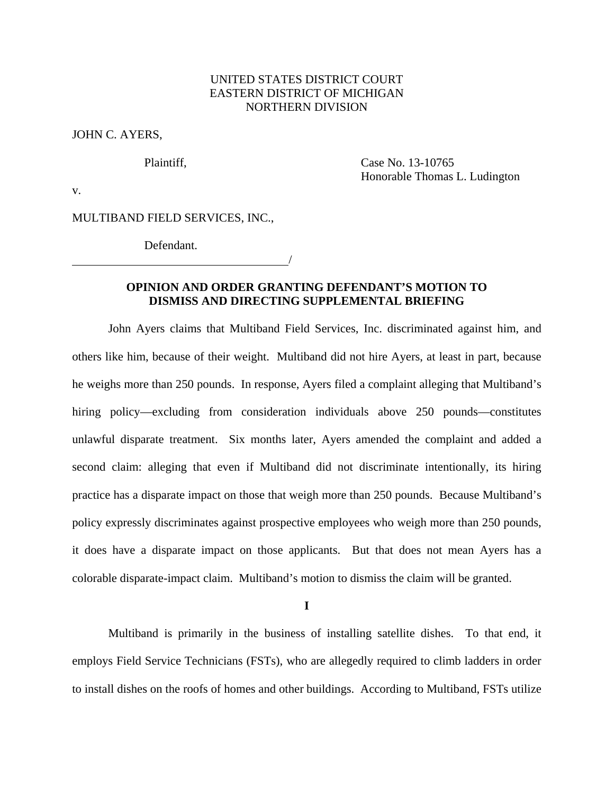# UNITED STATES DISTRICT COURT EASTERN DISTRICT OF MICHIGAN NORTHERN DIVISION

JOHN C. AYERS,

Plaintiff, Case No. 13-10765 Honorable Thomas L. Ludington

v.

MULTIBAND FIELD SERVICES, INC.,

Defendant.

/

# **OPINION AND ORDER GRANTING DEFENDANT'S MOTION TO DISMISS AND DIRECTING SUPPLEMENTAL BRIEFING**

John Ayers claims that Multiband Field Services, Inc. discriminated against him, and others like him, because of their weight. Multiband did not hire Ayers, at least in part, because he weighs more than 250 pounds. In response, Ayers filed a complaint alleging that Multiband's hiring policy—excluding from consideration individuals above 250 pounds—constitutes unlawful disparate treatment. Six months later, Ayers amended the complaint and added a second claim: alleging that even if Multiband did not discriminate intentionally, its hiring practice has a disparate impact on those that weigh more than 250 pounds. Because Multiband's policy expressly discriminates against prospective employees who weigh more than 250 pounds, it does have a disparate impact on those applicants. But that does not mean Ayers has a colorable disparate-impact claim. Multiband's motion to dismiss the claim will be granted.

**I** 

Multiband is primarily in the business of installing satellite dishes. To that end, it employs Field Service Technicians (FSTs), who are allegedly required to climb ladders in order to install dishes on the roofs of homes and other buildings. According to Multiband, FSTs utilize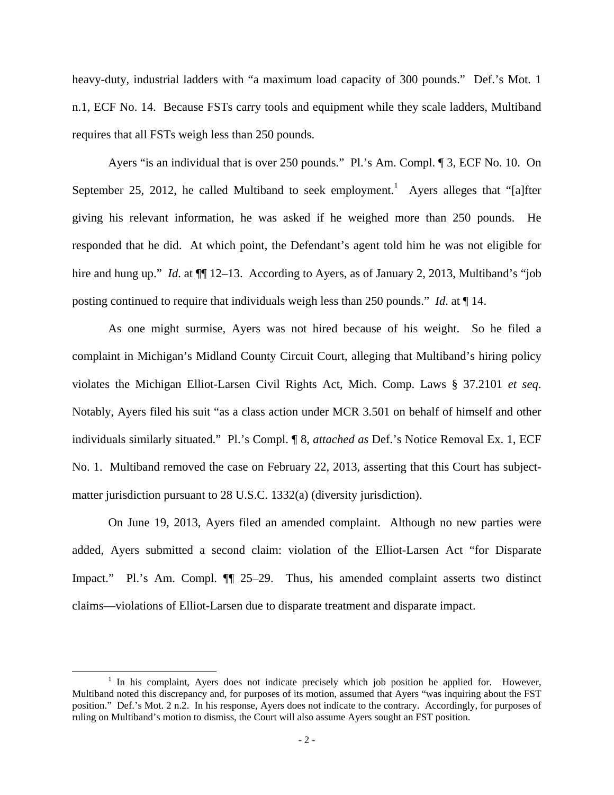heavy-duty, industrial ladders with "a maximum load capacity of 300 pounds." Def.'s Mot. 1 n.1, ECF No. 14. Because FSTs carry tools and equipment while they scale ladders, Multiband requires that all FSTs weigh less than 250 pounds.

 Ayers "is an individual that is over 250 pounds." Pl.'s Am. Compl. ¶ 3, ECF No. 10. On September 25, 2012, he called Multiband to seek employment.<sup>1</sup> Ayers alleges that "[a]fter giving his relevant information, he was asked if he weighed more than 250 pounds. He responded that he did. At which point, the Defendant's agent told him he was not eligible for hire and hung up." *Id.* at  $\P$  12–13. According to Ayers, as of January 2, 2013, Multiband's "job" posting continued to require that individuals weigh less than 250 pounds." *Id*. at ¶ 14.

 As one might surmise, Ayers was not hired because of his weight. So he filed a complaint in Michigan's Midland County Circuit Court, alleging that Multiband's hiring policy violates the Michigan Elliot-Larsen Civil Rights Act, Mich. Comp. Laws § 37.2101 *et seq*. Notably, Ayers filed his suit "as a class action under MCR 3.501 on behalf of himself and other individuals similarly situated." Pl.'s Compl. ¶ 8, *attached as* Def.'s Notice Removal Ex. 1, ECF No. 1. Multiband removed the case on February 22, 2013, asserting that this Court has subjectmatter jurisdiction pursuant to 28 U.S.C. 1332(a) (diversity jurisdiction).

 On June 19, 2013, Ayers filed an amended complaint. Although no new parties were added, Ayers submitted a second claim: violation of the Elliot-Larsen Act "for Disparate Impact." Pl.'s Am. Compl. ¶¶ 25–29. Thus, his amended complaint asserts two distinct claims—violations of Elliot-Larsen due to disparate treatment and disparate impact.

<sup>&</sup>lt;sup>1</sup> In his complaint, Ayers does not indicate precisely which job position he applied for. However, Multiband noted this discrepancy and, for purposes of its motion, assumed that Ayers "was inquiring about the FST position." Def.'s Mot. 2 n.2. In his response, Ayers does not indicate to the contrary. Accordingly, for purposes of ruling on Multiband's motion to dismiss, the Court will also assume Ayers sought an FST position.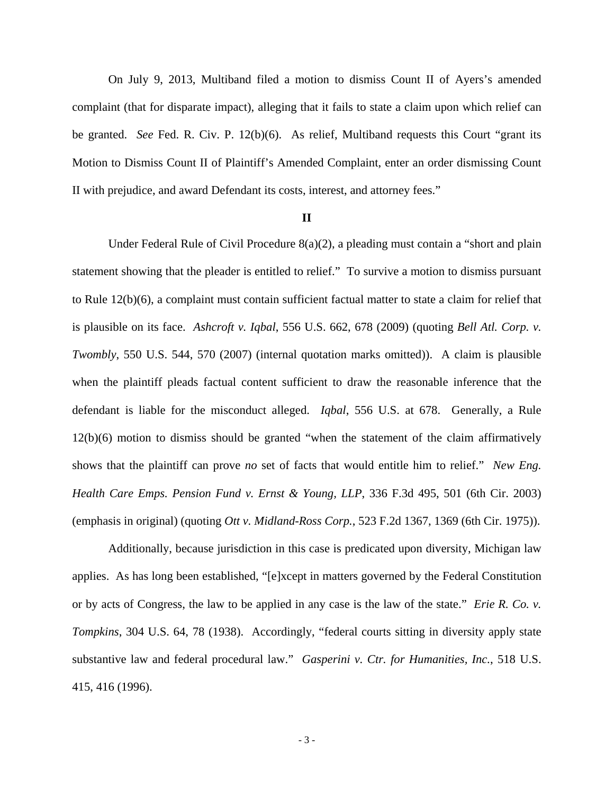On July 9, 2013, Multiband filed a motion to dismiss Count II of Ayers's amended complaint (that for disparate impact), alleging that it fails to state a claim upon which relief can be granted. *See* Fed. R. Civ. P. 12(b)(6). As relief, Multiband requests this Court "grant its Motion to Dismiss Count II of Plaintiff's Amended Complaint, enter an order dismissing Count II with prejudice, and award Defendant its costs, interest, and attorney fees."

## **II**

Under Federal Rule of Civil Procedure 8(a)(2), a pleading must contain a "short and plain statement showing that the pleader is entitled to relief." To survive a motion to dismiss pursuant to Rule 12(b)(6), a complaint must contain sufficient factual matter to state a claim for relief that is plausible on its face. *Ashcroft v. Iqbal*, 556 U.S. 662, 678 (2009) (quoting *Bell Atl. Corp. v. Twombly*, 550 U.S. 544, 570 (2007) (internal quotation marks omitted)). A claim is plausible when the plaintiff pleads factual content sufficient to draw the reasonable inference that the defendant is liable for the misconduct alleged. *Iqbal*, 556 U.S. at 678. Generally, a Rule 12(b)(6) motion to dismiss should be granted "when the statement of the claim affirmatively shows that the plaintiff can prove *no* set of facts that would entitle him to relief." *New Eng. Health Care Emps. Pension Fund v. Ernst & Young, LLP*, 336 F.3d 495, 501 (6th Cir. 2003) (emphasis in original) (quoting *Ott v. Midland-Ross Corp.*, 523 F.2d 1367, 1369 (6th Cir. 1975)).

Additionally, because jurisdiction in this case is predicated upon diversity, Michigan law applies. As has long been established, "[e]xcept in matters governed by the Federal Constitution or by acts of Congress, the law to be applied in any case is the law of the state." *Erie R. Co. v. Tompkins*, 304 U.S. 64, 78 (1938). Accordingly, "federal courts sitting in diversity apply state substantive law and federal procedural law." *Gasperini v. Ctr. for Humanities, Inc.*, 518 U.S. 415, 416 (1996).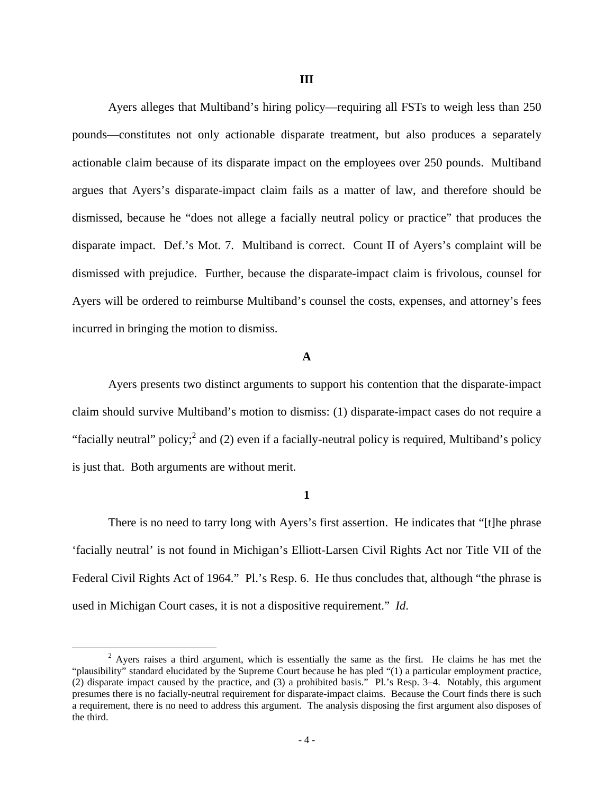Ayers alleges that Multiband's hiring policy—requiring all FSTs to weigh less than 250 pounds—constitutes not only actionable disparate treatment, but also produces a separately actionable claim because of its disparate impact on the employees over 250 pounds. Multiband argues that Ayers's disparate-impact claim fails as a matter of law, and therefore should be dismissed, because he "does not allege a facially neutral policy or practice" that produces the disparate impact. Def.'s Mot. 7. Multiband is correct. Count II of Ayers's complaint will be dismissed with prejudice. Further, because the disparate-impact claim is frivolous, counsel for Ayers will be ordered to reimburse Multiband's counsel the costs, expenses, and attorney's fees incurred in bringing the motion to dismiss.

### **A**

Ayers presents two distinct arguments to support his contention that the disparate-impact claim should survive Multiband's motion to dismiss: (1) disparate-impact cases do not require a "facially neutral" policy;  $2$  and (2) even if a facially-neutral policy is required, Multiband's policy is just that. Both arguments are without merit.

### **1**

There is no need to tarry long with Ayers's first assertion. He indicates that "[t]he phrase 'facially neutral' is not found in Michigan's Elliott-Larsen Civil Rights Act nor Title VII of the Federal Civil Rights Act of 1964." Pl.'s Resp. 6. He thus concludes that, although "the phrase is used in Michigan Court cases, it is not a dispositive requirement." *Id*.

<sup>&</sup>lt;sup>2</sup> Ayers raises a third argument, which is essentially the same as the first. He claims he has met the "plausibility" standard elucidated by the Supreme Court because he has pled "(1) a particular employment practice, (2) disparate impact caused by the practice, and (3) a prohibited basis." Pl.'s Resp. 3–4. Notably, this argument presumes there is no facially-neutral requirement for disparate-impact claims. Because the Court finds there is such a requirement, there is no need to address this argument. The analysis disposing the first argument also disposes of the third.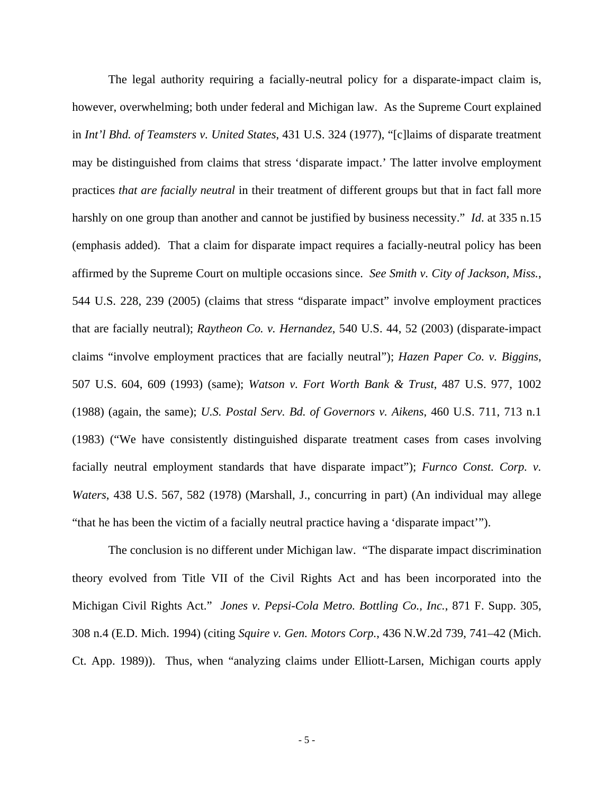The legal authority requiring a facially-neutral policy for a disparate-impact claim is, however, overwhelming; both under federal and Michigan law. As the Supreme Court explained in *Int'l Bhd. of Teamsters v. United States*, 431 U.S. 324 (1977), "[c]laims of disparate treatment may be distinguished from claims that stress 'disparate impact.' The latter involve employment practices *that are facially neutral* in their treatment of different groups but that in fact fall more harshly on one group than another and cannot be justified by business necessity." *Id*. at 335 n.15 (emphasis added). That a claim for disparate impact requires a facially-neutral policy has been affirmed by the Supreme Court on multiple occasions since. *See Smith v. City of Jackson, Miss.*, 544 U.S. 228, 239 (2005) (claims that stress "disparate impact" involve employment practices that are facially neutral); *Raytheon Co. v. Hernandez*, 540 U.S. 44, 52 (2003) (disparate-impact claims "involve employment practices that are facially neutral"); *Hazen Paper Co. v. Biggins*, 507 U.S. 604, 609 (1993) (same); *Watson v. Fort Worth Bank & Trust*, 487 U.S. 977, 1002 (1988) (again, the same); *U.S. Postal Serv. Bd. of Governors v. Aikens*, 460 U.S. 711, 713 n.1 (1983) ("We have consistently distinguished disparate treatment cases from cases involving facially neutral employment standards that have disparate impact"); *Furnco Const. Corp. v. Waters*, 438 U.S. 567, 582 (1978) (Marshall, J., concurring in part) (An individual may allege "that he has been the victim of a facially neutral practice having a 'disparate impact'").

 The conclusion is no different under Michigan law. "The disparate impact discrimination theory evolved from Title VII of the Civil Rights Act and has been incorporated into the Michigan Civil Rights Act." *Jones v. Pepsi-Cola Metro. Bottling Co., Inc.*, 871 F. Supp. 305, 308 n.4 (E.D. Mich. 1994) (citing *Squire v. Gen. Motors Corp.*, 436 N.W.2d 739, 741–42 (Mich. Ct. App. 1989)). Thus, when "analyzing claims under Elliott-Larsen, Michigan courts apply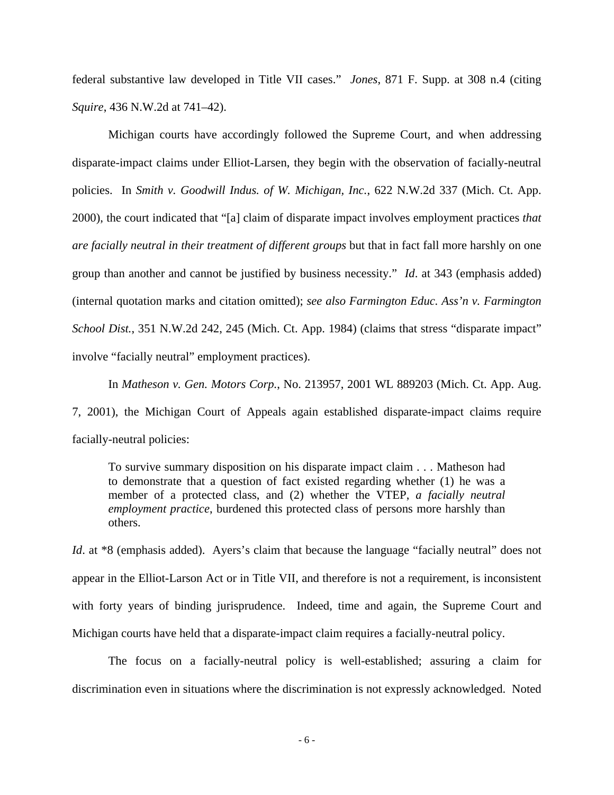federal substantive law developed in Title VII cases." *Jones*, 871 F. Supp. at 308 n.4 (citing *Squire*, 436 N.W.2d at 741–42).

 Michigan courts have accordingly followed the Supreme Court, and when addressing disparate-impact claims under Elliot-Larsen, they begin with the observation of facially-neutral policies. In *Smith v. Goodwill Indus. of W. Michigan, Inc.*, 622 N.W.2d 337 (Mich. Ct. App. 2000), the court indicated that "[a] claim of disparate impact involves employment practices *that are facially neutral in their treatment of different groups* but that in fact fall more harshly on one group than another and cannot be justified by business necessity." *Id*. at 343 (emphasis added) (internal quotation marks and citation omitted); *see also Farmington Educ. Ass'n v. Farmington School Dist.*, 351 N.W.2d 242, 245 (Mich. Ct. App. 1984) (claims that stress "disparate impact" involve "facially neutral" employment practices).

In *Matheson v. Gen. Motors Corp.*, No. 213957, 2001 WL 889203 (Mich. Ct. App. Aug. 7, 2001), the Michigan Court of Appeals again established disparate-impact claims require facially-neutral policies:

To survive summary disposition on his disparate impact claim . . . Matheson had to demonstrate that a question of fact existed regarding whether (1) he was a member of a protected class, and (2) whether the VTEP, *a facially neutral employment practice*, burdened this protected class of persons more harshly than others.

*Id.* at \*8 (emphasis added). Ayers's claim that because the language "facially neutral" does not appear in the Elliot-Larson Act or in Title VII, and therefore is not a requirement, is inconsistent with forty years of binding jurisprudence. Indeed, time and again, the Supreme Court and Michigan courts have held that a disparate-impact claim requires a facially-neutral policy.

 The focus on a facially-neutral policy is well-established; assuring a claim for discrimination even in situations where the discrimination is not expressly acknowledged. Noted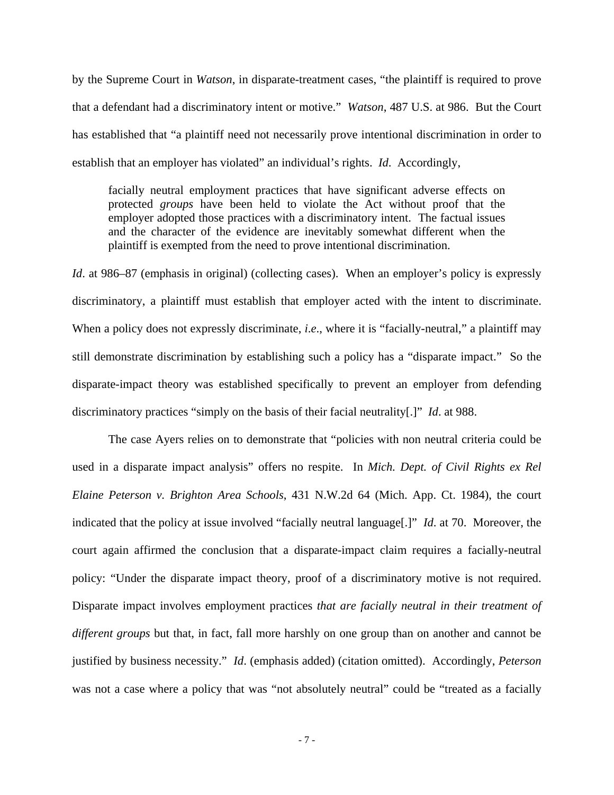by the Supreme Court in *Watson*, in disparate-treatment cases, "the plaintiff is required to prove that a defendant had a discriminatory intent or motive." *Watson*, 487 U.S. at 986. But the Court has established that "a plaintiff need not necessarily prove intentional discrimination in order to establish that an employer has violated" an individual's rights. *Id*. Accordingly,

facially neutral employment practices that have significant adverse effects on protected *groups* have been held to violate the Act without proof that the employer adopted those practices with a discriminatory intent. The factual issues and the character of the evidence are inevitably somewhat different when the plaintiff is exempted from the need to prove intentional discrimination.

*Id.* at 986–87 (emphasis in original) (collecting cases). When an employer's policy is expressly discriminatory, a plaintiff must establish that employer acted with the intent to discriminate. When a policy does not expressly discriminate, *i.e.*, where it is "facially-neutral," a plaintiff may still demonstrate discrimination by establishing such a policy has a "disparate impact." So the disparate-impact theory was established specifically to prevent an employer from defending discriminatory practices "simply on the basis of their facial neutrality[.]" *Id*. at 988.

The case Ayers relies on to demonstrate that "policies with non neutral criteria could be used in a disparate impact analysis" offers no respite. In *Mich. Dept. of Civil Rights ex Rel Elaine Peterson v. Brighton Area Schools*, 431 N.W.2d 64 (Mich. App. Ct. 1984), the court indicated that the policy at issue involved "facially neutral language[.]" *Id*. at 70. Moreover, the court again affirmed the conclusion that a disparate-impact claim requires a facially-neutral policy: "Under the disparate impact theory, proof of a discriminatory motive is not required. Disparate impact involves employment practices *that are facially neutral in their treatment of different groups* but that, in fact, fall more harshly on one group than on another and cannot be justified by business necessity." *Id*. (emphasis added) (citation omitted). Accordingly, *Peterson*  was not a case where a policy that was "not absolutely neutral" could be "treated as a facially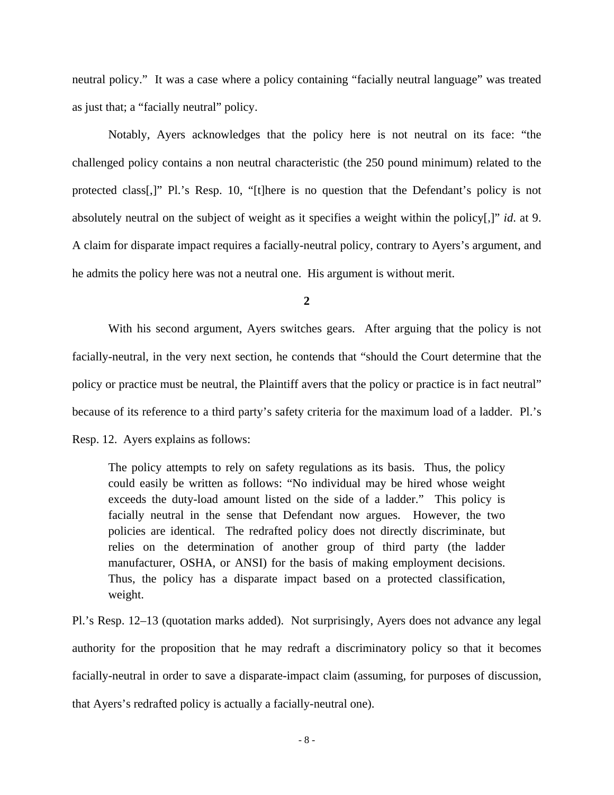neutral policy." It was a case where a policy containing "facially neutral language" was treated as just that; a "facially neutral" policy.

Notably, Ayers acknowledges that the policy here is not neutral on its face: "the challenged policy contains a non neutral characteristic (the 250 pound minimum) related to the protected class[,]" Pl.'s Resp. 10, "[t]here is no question that the Defendant's policy is not absolutely neutral on the subject of weight as it specifies a weight within the policy[,]" *id*. at 9. A claim for disparate impact requires a facially-neutral policy, contrary to Ayers's argument, and he admits the policy here was not a neutral one. His argument is without merit.

**2** 

With his second argument, Ayers switches gears. After arguing that the policy is not facially-neutral, in the very next section, he contends that "should the Court determine that the policy or practice must be neutral, the Plaintiff avers that the policy or practice is in fact neutral" because of its reference to a third party's safety criteria for the maximum load of a ladder. Pl.'s Resp. 12. Ayers explains as follows:

The policy attempts to rely on safety regulations as its basis. Thus, the policy could easily be written as follows: "No individual may be hired whose weight exceeds the duty-load amount listed on the side of a ladder." This policy is facially neutral in the sense that Defendant now argues. However, the two policies are identical. The redrafted policy does not directly discriminate, but relies on the determination of another group of third party (the ladder manufacturer, OSHA, or ANSI) for the basis of making employment decisions. Thus, the policy has a disparate impact based on a protected classification, weight.

Pl.'s Resp. 12–13 (quotation marks added). Not surprisingly, Ayers does not advance any legal authority for the proposition that he may redraft a discriminatory policy so that it becomes facially-neutral in order to save a disparate-impact claim (assuming, for purposes of discussion, that Ayers's redrafted policy is actually a facially-neutral one).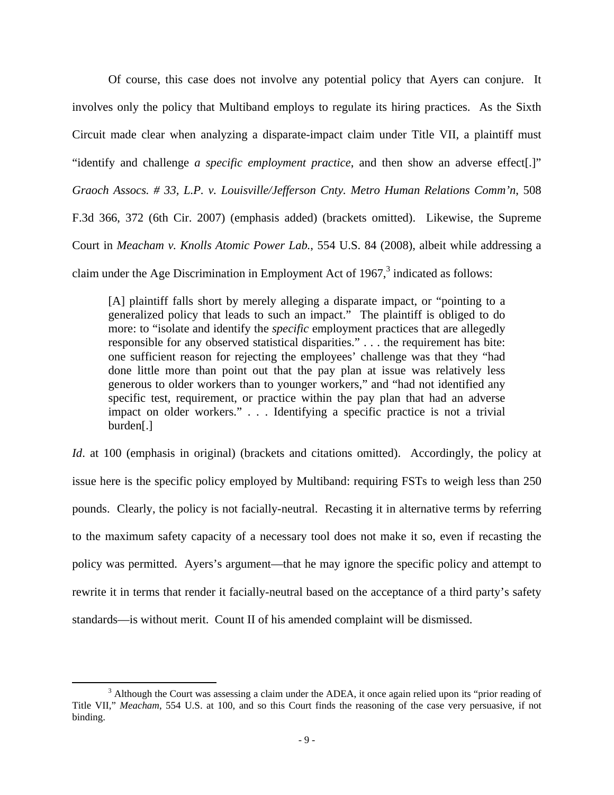Of course, this case does not involve any potential policy that Ayers can conjure. It involves only the policy that Multiband employs to regulate its hiring practices. As the Sixth Circuit made clear when analyzing a disparate-impact claim under Title VII, a plaintiff must "identify and challenge *a specific employment practice*, and then show an adverse effect[.]" *Graoch Assocs. # 33, L.P. v. Louisville/Jefferson Cnty. Metro Human Relations Comm'n*, 508 F.3d 366, 372 (6th Cir. 2007) (emphasis added) (brackets omitted). Likewise, the Supreme Court in *Meacham v. Knolls Atomic Power Lab.*, 554 U.S. 84 (2008), albeit while addressing a claim under the Age Discrimination in Employment Act of 1967, $3$  indicated as follows:

[A] plaintiff falls short by merely alleging a disparate impact, or "pointing to a generalized policy that leads to such an impact." The plaintiff is obliged to do more: to "isolate and identify the *specific* employment practices that are allegedly responsible for any observed statistical disparities." . . . the requirement has bite: one sufficient reason for rejecting the employees' challenge was that they "had done little more than point out that the pay plan at issue was relatively less generous to older workers than to younger workers," and "had not identified any specific test, requirement, or practice within the pay plan that had an adverse impact on older workers." . . . Identifying a specific practice is not a trivial burden[.]

*Id.* at 100 (emphasis in original) (brackets and citations omitted). Accordingly, the policy at issue here is the specific policy employed by Multiband: requiring FSTs to weigh less than 250 pounds. Clearly, the policy is not facially-neutral. Recasting it in alternative terms by referring to the maximum safety capacity of a necessary tool does not make it so, even if recasting the policy was permitted. Ayers's argument—that he may ignore the specific policy and attempt to rewrite it in terms that render it facially-neutral based on the acceptance of a third party's safety standards—is without merit. Count II of his amended complaint will be dismissed.

<sup>&</sup>lt;sup>3</sup> Although the Court was assessing a claim under the ADEA, it once again relied upon its "prior reading of Title VII," *Meacham*, 554 U.S. at 100, and so this Court finds the reasoning of the case very persuasive, if not binding.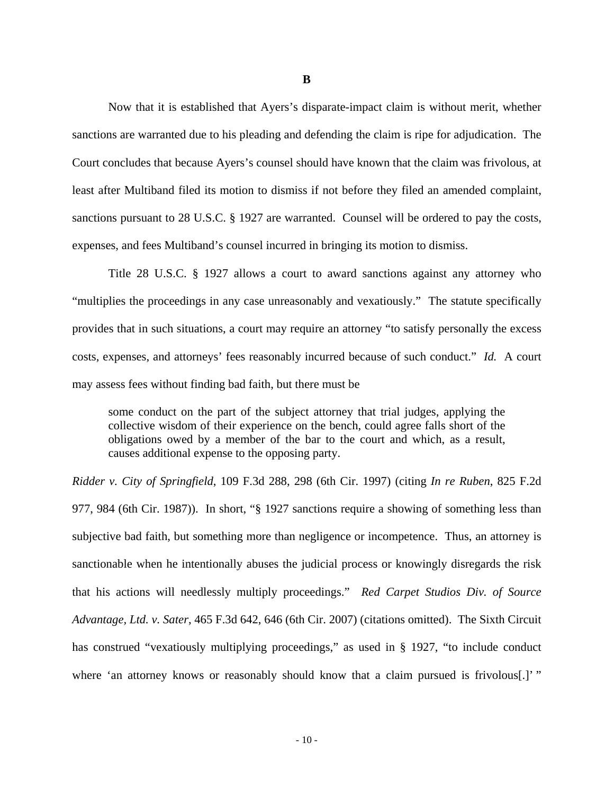Now that it is established that Ayers's disparate-impact claim is without merit, whether sanctions are warranted due to his pleading and defending the claim is ripe for adjudication. The Court concludes that because Ayers's counsel should have known that the claim was frivolous, at least after Multiband filed its motion to dismiss if not before they filed an amended complaint, sanctions pursuant to 28 U.S.C. § 1927 are warranted. Counsel will be ordered to pay the costs, expenses, and fees Multiband's counsel incurred in bringing its motion to dismiss.

Title 28 U.S.C. § 1927 allows a court to award sanctions against any attorney who "multiplies the proceedings in any case unreasonably and vexatiously." The statute specifically provides that in such situations, a court may require an attorney "to satisfy personally the excess costs, expenses, and attorneys' fees reasonably incurred because of such conduct." *Id.* A court may assess fees without finding bad faith, but there must be

some conduct on the part of the subject attorney that trial judges, applying the collective wisdom of their experience on the bench, could agree falls short of the obligations owed by a member of the bar to the court and which, as a result, causes additional expense to the opposing party.

*Ridder v. City of Springfield*, 109 F.3d 288, 298 (6th Cir. 1997) (citing *In re Ruben*, 825 F.2d 977, 984 (6th Cir. 1987)). In short, "§ 1927 sanctions require a showing of something less than subjective bad faith, but something more than negligence or incompetence. Thus, an attorney is sanctionable when he intentionally abuses the judicial process or knowingly disregards the risk that his actions will needlessly multiply proceedings." *Red Carpet Studios Div. of Source Advantage, Ltd. v. Sater*, 465 F.3d 642, 646 (6th Cir. 2007) (citations omitted). The Sixth Circuit has construed "vexatiously multiplying proceedings," as used in § 1927, "to include conduct where 'an attorney knows or reasonably should know that a claim pursued is frivolous.]'"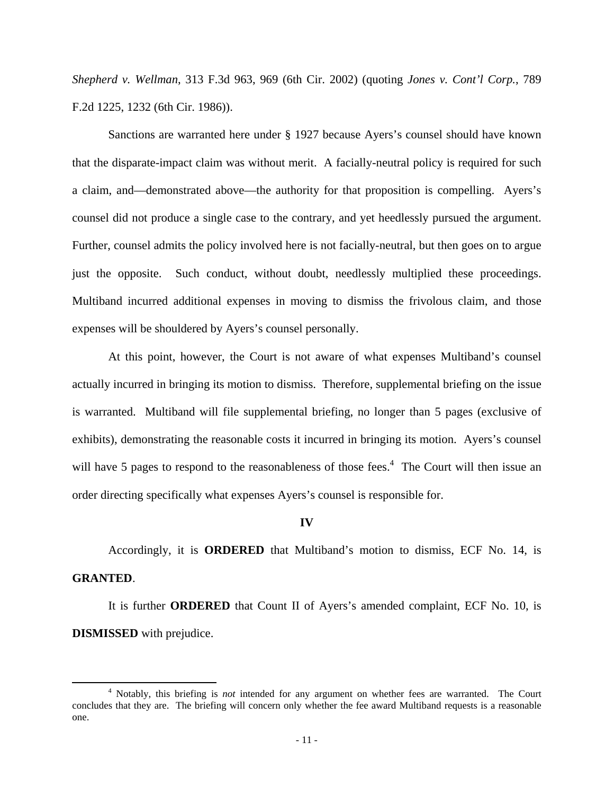*Shepherd v. Wellman*, 313 F.3d 963, 969 (6th Cir. 2002) (quoting *Jones v. Cont'l Corp.*, 789 F.2d 1225, 1232 (6th Cir. 1986)).

 Sanctions are warranted here under § 1927 because Ayers's counsel should have known that the disparate-impact claim was without merit. A facially-neutral policy is required for such a claim, and—demonstrated above—the authority for that proposition is compelling. Ayers's counsel did not produce a single case to the contrary, and yet heedlessly pursued the argument. Further, counsel admits the policy involved here is not facially-neutral, but then goes on to argue just the opposite. Such conduct, without doubt, needlessly multiplied these proceedings. Multiband incurred additional expenses in moving to dismiss the frivolous claim, and those expenses will be shouldered by Ayers's counsel personally.

 At this point, however, the Court is not aware of what expenses Multiband's counsel actually incurred in bringing its motion to dismiss. Therefore, supplemental briefing on the issue is warranted. Multiband will file supplemental briefing, no longer than 5 pages (exclusive of exhibits), demonstrating the reasonable costs it incurred in bringing its motion. Ayers's counsel will have 5 pages to respond to the reasonableness of those fees.<sup>4</sup> The Court will then issue an order directing specifically what expenses Ayers's counsel is responsible for.

#### **IV**

Accordingly, it is **ORDERED** that Multiband's motion to dismiss, ECF No. 14, is **GRANTED**.

 It is further **ORDERED** that Count II of Ayers's amended complaint, ECF No. 10, is **DISMISSED** with prejudice.

 <sup>4</sup> Notably, this briefing is *not* intended for any argument on whether fees are warranted. The Court concludes that they are. The briefing will concern only whether the fee award Multiband requests is a reasonable one.